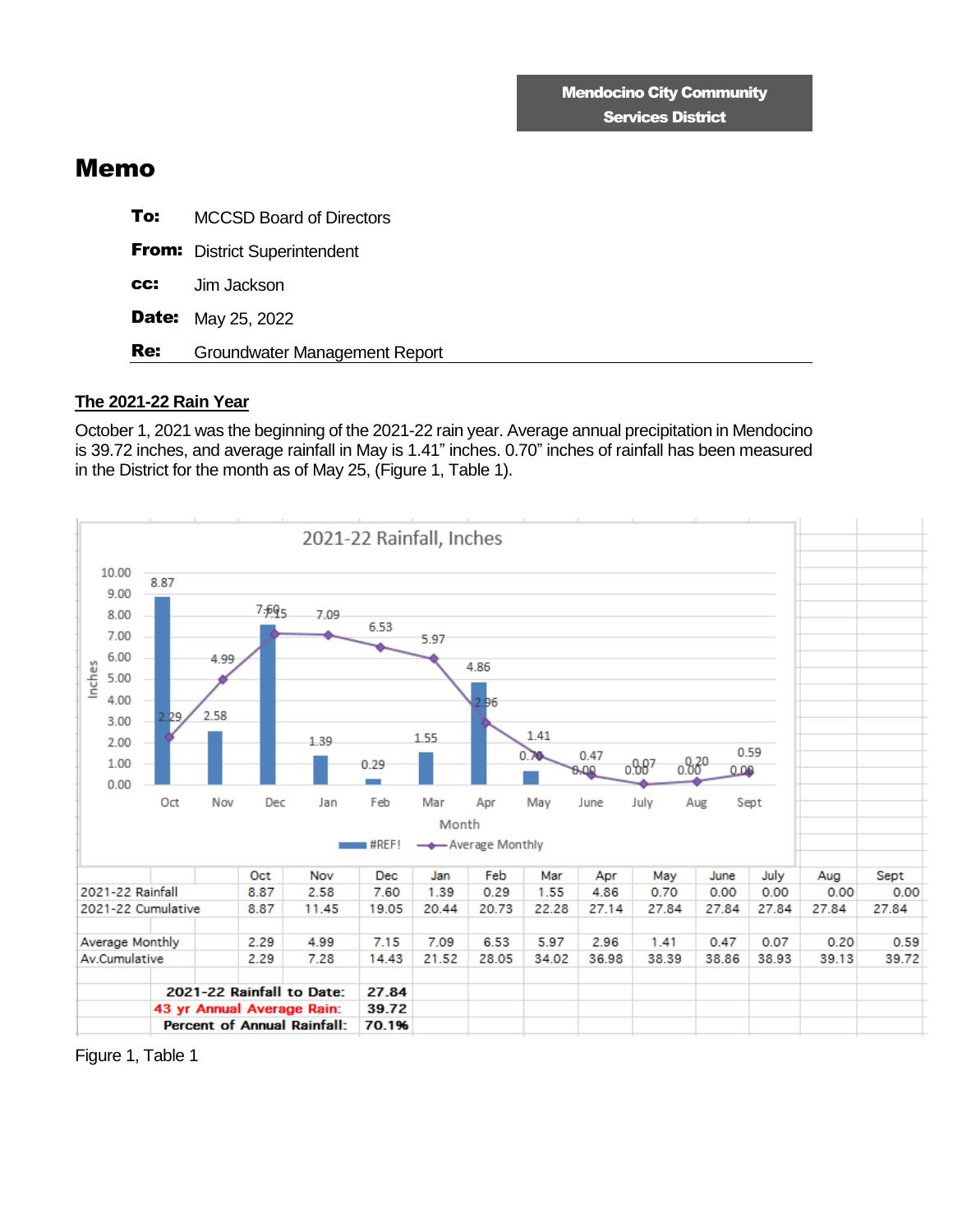## Memo

| To: | <b>MCCSD Board of Directors</b>      |
|-----|--------------------------------------|
|     | <b>From:</b> District Superintendent |
| CC: | Jim Jackson                          |
|     | <b>Date:</b> May 25, 2022            |
| Re: | Groundwater Management Report        |

## **The 2021-22 Rain Year**

October 1, 2021 was the beginning of the 2021-22 rain year. Average annual precipitation in Mendocino is 39.72 inches, and average rainfall in May is 1.41" inches. 0.70" inches of rainfall has been measured in the District for the month as of May 25, (Figure 1, Table 1).



Figure 1, Table 1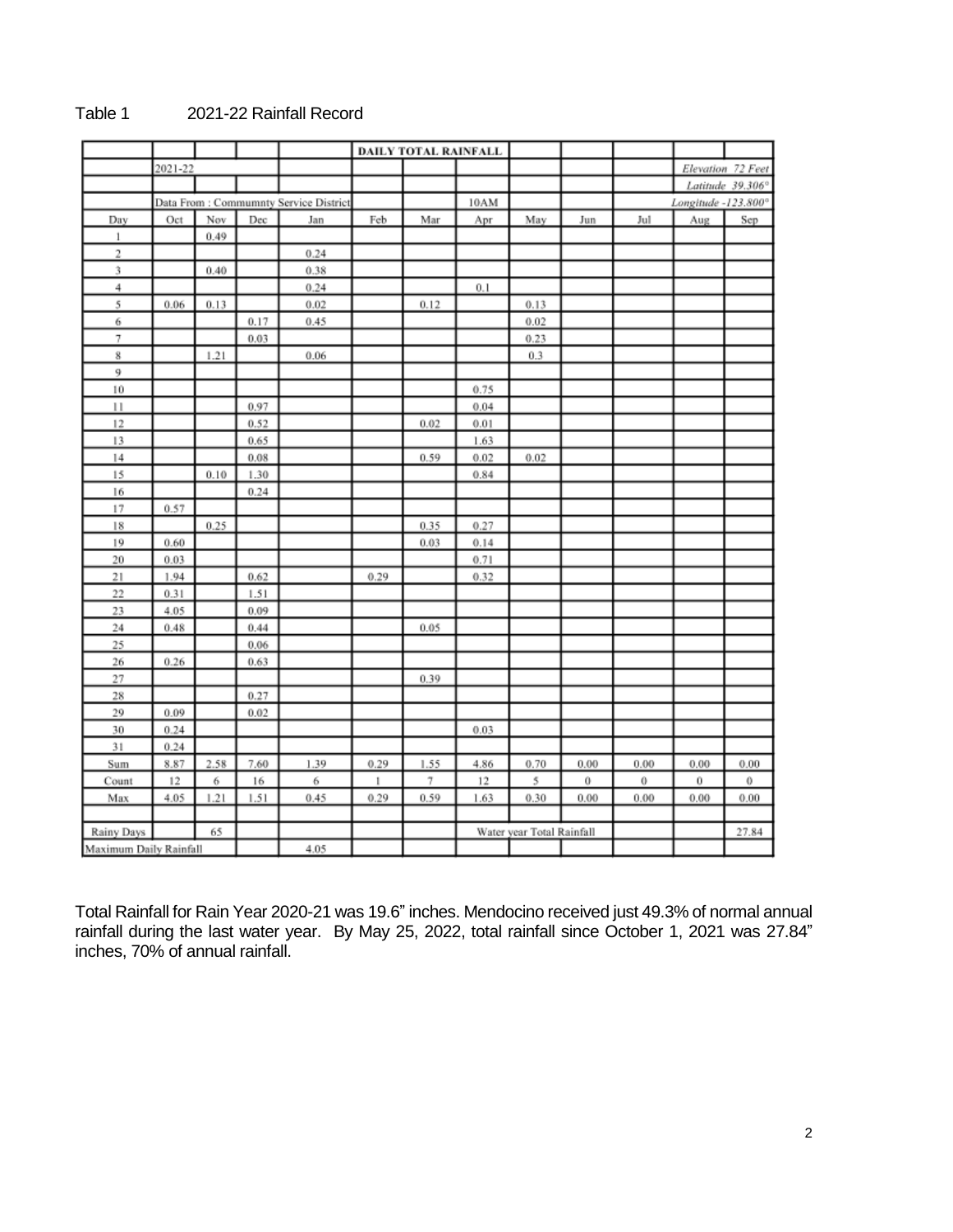|              |                                       |      |          |      |      | DAILY TOTAL RAINFALL |      |                           |      |      |                     |                   |
|--------------|---------------------------------------|------|----------|------|------|----------------------|------|---------------------------|------|------|---------------------|-------------------|
|              | 2021-22                               |      |          |      |      |                      |      |                           |      |      |                     | Elevation 72 Feet |
|              |                                       |      |          |      |      |                      |      |                           |      |      |                     | Latitude 39.306°  |
|              | Data From: Commumnty Service District |      |          |      |      |                      | 10AM |                           |      |      | Longitude -123.800° |                   |
| Day          | Oct                                   | Nov  | Dec      | Jan  | Feb  | Mar                  | Apr  | May                       | Jun  | Jul  | Aug                 | Sep               |
| $\mathbf{1}$ |                                       | 0.49 |          |      |      |                      |      |                           |      |      |                     |                   |
| 2            |                                       |      |          | 0.24 |      |                      |      |                           |      |      |                     |                   |
| 3            |                                       | 0.40 |          | 0.38 |      |                      |      |                           |      |      |                     |                   |
| 4            |                                       |      |          | 0.24 |      |                      | 0.1  |                           |      |      |                     |                   |
| 5            | 0.06                                  | 0.13 |          | 0.02 |      | 0.12                 |      | 0.13                      |      |      |                     |                   |
| 6            |                                       |      | 0.17     | 0.45 |      |                      |      | 0.02                      |      |      |                     |                   |
| 7            |                                       |      | 0.03     |      |      |                      |      | 0.23                      |      |      |                     |                   |
| 8            |                                       | 1.21 |          | 0.06 |      |                      |      | 0.3                       |      |      |                     |                   |
| 9            |                                       |      |          |      |      |                      |      |                           |      |      |                     |                   |
| 10           |                                       |      |          |      |      |                      | 0.75 |                           |      |      |                     |                   |
| 11           |                                       |      | 0.97     |      |      |                      | 0.04 |                           |      |      |                     |                   |
| 12           |                                       |      | 0.52     |      |      | 0.02                 | 0.01 |                           |      |      |                     |                   |
| 13           |                                       |      | 0.65     |      |      |                      | 1.63 |                           |      |      |                     |                   |
| 14           |                                       |      | $0.08\,$ |      |      | 0.59                 | 0.02 | 0.02                      |      |      |                     |                   |
| 15           |                                       | 0.10 | 1.30     |      |      |                      | 0.84 |                           |      |      |                     |                   |
| 16           |                                       |      | 0.24     |      |      |                      |      |                           |      |      |                     |                   |
| 17           | 0.57                                  |      |          |      |      |                      |      |                           |      |      |                     |                   |
| 18           |                                       | 0.25 |          |      |      | 0.35                 | 0.27 |                           |      |      |                     |                   |
| 19           | 0.60                                  |      |          |      |      | 0.03                 | 0.14 |                           |      |      |                     |                   |
| 20           | 0.03                                  |      |          |      |      |                      | 0.71 |                           |      |      |                     |                   |
| 21           | 1.94                                  |      | 0.62     |      | 0.29 |                      | 0.32 |                           |      |      |                     |                   |
| 22           | 0.31                                  |      | 1.51     |      |      |                      |      |                           |      |      |                     |                   |
| 23           | 4.05                                  |      | 0.09     |      |      |                      |      |                           |      |      |                     |                   |
| 24           | 0.48                                  |      | 0.44     |      |      | 0.05                 |      |                           |      |      |                     |                   |
| 25           |                                       |      | 0.06     |      |      |                      |      |                           |      |      |                     |                   |
| 26           | 0.26                                  |      | 0.63     |      |      |                      |      |                           |      |      |                     |                   |
| 27           |                                       |      |          |      |      | 0.39                 |      |                           |      |      |                     |                   |
| 28           |                                       |      | 0.27     |      |      |                      |      |                           |      |      |                     |                   |
| 29           | 0.09                                  |      | 0.02     |      |      |                      |      |                           |      |      |                     |                   |
| 30           | 0.24                                  |      |          |      |      |                      | 0.03 |                           |      |      |                     |                   |
| 31           | 0.24                                  |      |          |      |      |                      |      |                           |      |      |                     |                   |
| Sum          | 8.87                                  | 2.58 | 7.60     | 1.39 | 0.29 | 1.55                 | 4.86 | 0.70                      | 0.00 | 0.00 | 0.00                | 0.00              |
| Count        | 12                                    | 6    | 16       | 6    | 1    | 7                    | 12   | 5                         | 0    | 0    | 0                   | 0                 |
| Max          | 4.05                                  | 1.21 | 1.51     | 0.45 | 0.29 | 0.59                 | 1.63 | 0.30                      | 0.00 | 0.00 | 0.00                | 0.00              |
|              |                                       |      |          |      |      |                      |      |                           |      |      |                     |                   |
| Rainy Days   |                                       | 65   |          |      |      |                      |      | Water year Total Rainfall |      |      |                     | 27.84             |
|              | Maximum Daily Rainfall                |      |          | 4.05 |      |                      |      |                           |      |      |                     |                   |

## Table 1 2021-22 Rainfall Record

Total Rainfall for Rain Year 2020-21 was 19.6" inches. Mendocino received just 49.3% of normal annual rainfall during the last water year. By May 25, 2022, total rainfall since October 1, 2021 was 27.84" inches, 70% of annual rainfall.